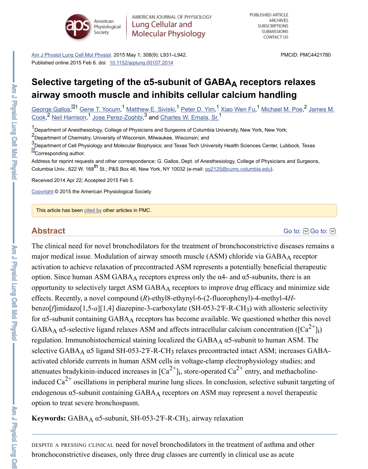<u>George Gallos, Hu Gene T. Yocum, Watthew E. Siviski, Peter D. Yim, 'Xiao Wen Fu, ' Michael</u> Cook,<sup>2</sup> Neil Harrison, Jose Perez-Zoghbi,<sup>3</sup> and Charles W. Emala, Sr.  $1$  Cana T Vocum  $1$  Matthow E Sivieki  $1$  Dotar D Vim  $1$  Viao Wan Eu  $1$  Michael  $2$  Neil Harrison  $1$  lose Perez Zoabbi  $3$  and Charles W. Emala, Sr  $1$ 

<sup>1</sup> Department of Anesthesiology, College of Physicians and Surgeons of Columbia University, New York, New Yo <sup>2</sup> Department of Chemistry, University of Wisconsin, Milwaukee, Wisconsin; and

 $3$ Department of Cell Physiology and Molecular Biophysics; and Texas Tech University Health Sciences Center, L **X**Corresponding author.

[Address for reprint requests and oth](https://www.ncbi.nlm.nih.gov/pmc/articles/PMC4421780/#)er correspondence: G. Gallos, Dept. of Anesthesiology, College of Physician Columbia Univ., 622 W. 168<sup>th</sup> St.; [P&S Box 46, New York, NY 1](https://dx.doi.org/10.1152%2Fajplung.00107.2014)0032 (e-mail: <u>gg2125@cumc.columbia.edu</u>).

Received 2014 Apr 22; Accepted 2015 Feb 5.

Copyright © 2015 the American Physiological Society

[This article has](https://www.ncbi.nlm.nih.gov/pubmed/?term=Gallos%20G%5BAuthor%5D&cauthor=true&cauthor_uid=25659897) [bee](https://www.ncbi.nlm.nih.gov/pubmed/?term=Cook%20JM%5BAuthor%5D&cauthor=true&cauthor_uid=25659897)[n cited by other a](https://www.ncbi.nlm.nih.gov/pubmed/?term=Yocum%20GT%5BAuthor%5D&cauthor=true&cauthor_uid=25659897)[rticl](https://www.ncbi.nlm.nih.gov/pubmed/?term=Cook%20JM%5BAuthor%5D&cauthor=true&cauthor_uid=25659897)[es in PMC.](https://www.ncbi.nlm.nih.gov/pubmed/?term=Siviski%20ME%5BAuthor%5D&cauthor=true&cauthor_uid=25659897)

### **Abstract**

The clinical need for novel bronchodilators for the treatment of bronchoconstrictive or major medical issue. Modulation of airway smooth muscle (ASM) chloride via GAB activation to achieve relaxation of precontracted ASM represents a potentially beneficial option. Since human ASM GABAA receptors express only the  $\alpha$ 4- and  $\alpha$ [5-subuni](mailto:dev@null)ts, there is an opportunity to selectively target ASM GABAA receptors to improve drug efficacy and [effects.](https://www.ncbi.nlm.nih.gov/pmc/about/copyright/) Recently, a novel compound (*R*)-ethyl8-ethynyl-6-(2-fluorophenyl)-4-methylbenzo[*f*]imidazo[1,5-*a*][1,4] diazepine-3-carboxylate (SH-053-2'F-R-CH<sub>3</sub>) with allos for  $\alpha$ 5-subunit co[ntainin](https://www.ncbi.nlm.nih.gov/pmc/articles/PMC4421780/citedby/)g GABAA receptors has become available. We questioned w  $GABA_A$   $\alpha$ 5-selective ligand relaxes ASM and affects intracellular calcium concentration regulation. Immunohistochemical staining localized the  $GABA_A$   $\alpha$ 5-subunit to huma selective  $GABA_A$   $\alpha$ 5 ligand SH-053-2'F-R-CH<sub>3</sub> relaxes precontracted intact ASM; in activated chloride currents in human ASM cells in voltage-clamp electrophysiology s attenuates bradykinin-induced increases in  $\lbrack Ca^{2+}\rbrack$  store-operated  $\text{Ca}^{2+}$  entry, and m induced  $Ca^{2+}$  oscillations in peripheral murine lung slices. In conclusion, selective su endogenous  $\alpha$ 5-subunit containing GABAA receptors on ASM may represent a novel option to treat severe bronchospasm. i 2+

**Keywords:** GABA<sub>A</sub> α5-subunit, SH-053-2'F-R-CH<sub>3</sub>, airway relaxation

DESPITE A PRESSING CLINICAL need for novel bronchodilators in the treatment of asthm bronchoconstrictive diseases, only three drug classes are currently in clinical use as a

Am J Physic Lung Ceil McI Physic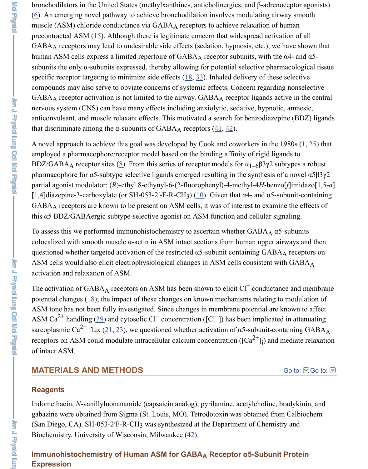nervous system (CNS) can have many effects including anxiolytic, sedative, hypnotic [an](https://www.ncbi.nlm.nih.gov/pmc/articles/PMC4421780/#B6)ticonvulsant, and muscle relaxant effects. This motivated a search for benzodiazep that discriminate among the  $\alpha$ -subunits of GABA<sub>A</sub> receptors  $(41, 42)$ .

A novel appro[ach](https://www.ncbi.nlm.nih.gov/pmc/articles/PMC4421780/#B15) to achieve this goal was developed by Cook and coworkers in the 1 employed a pharmacophore/receptor model based on the binding affinity of rigid ligation BDZ/GABAA receptor sites (8). From this series of receptor models for  $\alpha_{1-6}$ β3γ2 su pharmacophore for  $\alpha$ 5-subtype selective ligands emerged resulting in the synthesis of partial agonist modulator: (*R*)-ethyl 8-ethynyl-6-(2-[fluo](https://www.ncbi.nlm.nih.gov/pmc/articles/PMC4421780/#B18)[rop](https://www.ncbi.nlm.nih.gov/pmc/articles/PMC4421780/#B33)henyl)-4-methyl-4*H*-benzo [1,4]diazepine-3-carboxylate (or SH-053-2'-F-R-CH<sub>3</sub>) ( $\underline{10}$ ). Given that  $\alpha$ 4- and  $\alpha$ 5-su GABAA receptors are known to be present on ASM cells, it was of interest to examine this  $\alpha$ 5 BDZ/GABAergic subtype-selective agonist on ASM function and cellular signaling.

To assess this we performed immunohistochemistry to ascerta[in](https://www.ncbi.nlm.nih.gov/pmc/articles/PMC4421780/#B41) [whe](https://www.ncbi.nlm.nih.gov/pmc/articles/PMC4421780/#B42)ther  $\text{GABA}_\text{A}$   $\alpha$ 5 colocalized with smooth muscle  $\alpha$ -actin in ASM intact sections from human upper air questioned whether targeted activation of the restricted  $\alpha$ 5-subunit containing GABA ASM cells would also elicit electrophysiological changes in ASM cells consistent wi activation and relaxation of [AS](https://www.ncbi.nlm.nih.gov/pmc/articles/PMC4421780/#B8)M.

The activation of  $GABA_A$  receptors on ASM has been shown to elicit  $Cl^-$  conductan potential changes  $(18)$ ; the impact of these changes on [kno](https://www.ncbi.nlm.nih.gov/pmc/articles/PMC4421780/#B10)wn mechanisms relating to ASM tone has not been fully investigated. Since changes in membrane potential are l ASM Ca<sup>2+</sup> handling (39) and cytosolic Cl<sup>-</sup> concentration ([Cl<sup>-</sup>]) has been implicated sarcoplasmic Ca<sup>2+</sup> flux (21, 23), we questioned whether activation of  $\alpha$ 5-subunit-con receptors on ASM could modulate intracellular calcium concentration ([Ca<sup>2+</sup>]<sub>i</sub>) and n of intact ASM. i

### **MATERIALS AND METHODS**

#### **Reagents**

Indomethacin, *N*-v[ani](https://www.ncbi.nlm.nih.gov/pmc/articles/PMC4421780/#B18)llylnonanamide (capsaicin analog), pyrilamine, acetylcholine, bradykinin, and gabazine were obtained from Sigma (St. Louis, MO). Tetrodotoxin was obtained from (San Diego, CA). SH[-05](https://www.ncbi.nlm.nih.gov/pmc/articles/PMC4421780/#B39)3-2'F-R-CH<sub>3</sub> was synthesized at the Department of Chemist Biochemistry, Universit[y of](https://www.ncbi.nlm.nih.gov/pmc/articles/PMC4421780/#B21) [Wi](https://www.ncbi.nlm.nih.gov/pmc/articles/PMC4421780/#B23)sconsin, Milwaukee (42).

#### **Immunohistochemistry of Human ASM for GABA<sub>A</sub> Receptor α5-Subunit Expression**

Am J Physic Lung Ceil Moi Physic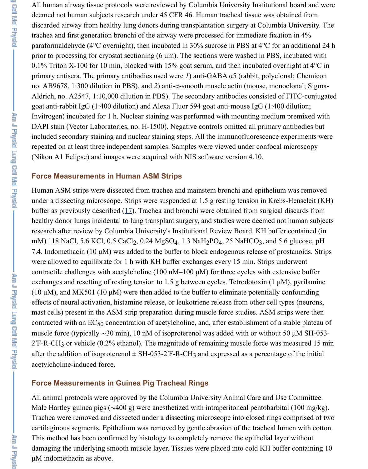goat anti-rabbit IgG (1:400 dilution) and Alexa Fluor 594 goat anti-mouse IgG (1:400 dilution; Invitrogen) incubated for 1 h. Nuclear staining was performed with mounting medium DAPI stain (Vector Laboratories, no. H-1500). Negative controls omitted all primary included secondary staining and nuclear staining steps. All the immunofluorescence repeated on at least three independent samples. Samples were viewed under confocal (Nikon A1 Eclipse) and images were acquired with NIS software version 4.10.

#### **Force Measurements in Human ASM Strips**

Human ASM strips were dissected from trachea and mainstem bronchi and epithelium under a dissecting microscope. Strips were suspended at 1.5 g resting tension in Kreb buffer as previously described  $(17)$ . Trachea and bronchi were obtained from surgical healthy donor lungs incidental to lung transplant surgery, and studies were deemed not research after review by Columbia University's Institutional Review Board. KH buffer mM) 118 NaCl, 5.6 KCl, 0.5 CaCl<sub>2</sub>, 0.24 MgSO<sub>4</sub>, 1.3 NaH<sub>2</sub>PO<sub>4</sub>, 25 NaHCO<sub>3</sub>, and 5. 7.4. Indomethacin (10  $\mu$ M) was added to the buffer to block endogenous release of prosential were allowed to equilibrate for 1 h with KH buffer exchanges every 15 min. Strips under contractile challenges with acetylcholine (100 nM–100  $\mu$ M) for three cycles with ext exchanges and resetting of resting tension to 1.5 g between cycles. Tetrodotoxin  $(1 \mu)$ (10  $\mu$ M), and MK501 (10  $\mu$ M) were then added to the buffer to eliminate potentially effects of neural activation, histamine release, or leukotriene release from other cell t mast cells) present in the ASM [stri](https://www.ncbi.nlm.nih.gov/pmc/articles/PMC4421780/#B17)p preparation during muscle force studies. ASM st contracted with an  $EC_{50}$  concentration of acetylcholine, and, after establishment of a muscle force (typically ~30 min), 10 nM of isoproterenol was added with or without  $2$ <sup>T</sup>F-R-CH<sub>3</sub> or vehicle (0.2% ethanol). The magnitude of remaining muscle force was after the addition of isoproterenol  $\pm$  SH-053-2'F-R-CH<sub>3</sub> and expressed as a percentagent acetylcholine-induced force.

### **Force Measurements in Guinea Pig Tracheal Rings**

All animal protocols were approved by the Columbia University Animal Care and Us Male Hartley guinea pigs (∼400 g) were anesthetized with intraperitoneal pentobarbi Trachea were removed and dissected under a dissecting microscope into closed rings cartilaginous segments. Epithelium was removed by gentle abrasion of the tracheal lumen with contenant contenant with contenant contenant at the tracheal lumen with contenant contenant contenant contenant at the tracheal l This method has been confirmed by histology to completely remove the epithelial layer damaging the underlying smooth muscle layer. Tissues were placed into cold KH buffer µM indomethacin as above.

- Ann J Physicial Lung Ceil McI Physicial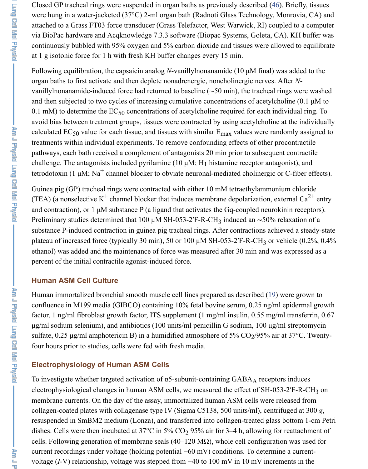0.1 mM) to determine the  $EC_{50}$  concentrations of acetylcholine required for each [ind](https://www.ncbi.nlm.nih.gov/pmc/articles/PMC4421780/#B46) avoid bias between treatment groups, tissues were contracted by using acetylcholine calculated  $EC_{50}$  value for each tissue, and tissues with similar  $E_{\text{max}}$  values were rand treatments within individual experiments. To remove confounding effects of other pr pathways, each bath received a complement of antagonists 20 min prior to subsequently challenge. The antagonists included pyrilamine (10  $\mu$ M; H<sub>1</sub> histamine receptor antag tetrodotoxin (1  $\mu$ M; Na<sup>+</sup> channel blocker to obviate neuronal-mediated cholinergic or

and then subjected to two cycles of increasing cumulative concentrations of acetylcholine (0.1 µM to

Guinea pig (GP) tracheal rings were contracted with either 10 mM tetraethylammoni (TEA) (a nonselective  $K^+$  channel blocker that induces membrane depolarization, external Ca entry and contraction), or 1  $\mu$ M substance P (a ligand that activates the Gq-coupled neurok Preliminary studies determined that 100 µM SH-053-2′F-R-CH<sub>3</sub> induced an ~50% re substance P-induced contraction in guinea pig tracheal rings. After contractions achieved a steady-state and steady-state and steady-state and steady-state and steady-state and steady-state and steady-state and steady-stat plateau of increased force (typically 30 min), 50 or 100  $\mu$ M SH-053-2'F-R-CH<sub>3</sub> or ve ethanol) was added and the maintenance of force was measured after 30 min and was percent of the initial contractile agonist-induced force.

#### **Human ASM Cell Culture**

Human immortalized bronchial smooth muscle cell lines prepared as described  $(19)$ confluence in M199 media (GIBCO) containing 10% fetal bovine serum, 0.25 ng/ml factor, 1 ng/ml fibroblast growth factor, ITS supplement  $(1 \text{ mg/ml insulin}, 0.55 \text{ mg/m})$  $\mu$ g/ml sodium selenium), and antibiotics (100 units/ml penicillin G sodium, 100  $\mu$ g/n sulfate, 0.25  $\mu$ g/ml amphotericin B) in a humidified atmosphere of 5% CO<sub>2</sub>/95% air four hours prior to studies, cells were fed with fresh media.

### **Electrophysiology of Human ASM Cells**

To investigate whether targeted activation of  $\alpha$ 5-subunit-containing GABA<sub>A</sub> receptor electrophysiological changes in human ASM cells, we measured the effect of SH-053 membrane currents. On the day of the assay, immortalized human ASM cells w[ere](https://www.ncbi.nlm.nih.gov/pmc/articles/PMC4421780/#B19) re collagen-coated plates with collagenase type IV (Sigma C5138, 500 units/ml), centri resuspended in SmBM2 medium (Lonza), and transferred into collagen-treated glass dishes. Cells were then incubated at  $37^{\circ}$ C in  $5\%$  CO<sub>2</sub> 95% air for 3–4 h, allowing for cells. Following generation of membrane seals (40–120 M $\Omega$ ), whole cell configuration current recordings under voltage (holding potential  $-60$  mV) conditions. To determine voltage (*I*-V) relationship, voltage was stepped from −40 to 100 mV in 10 mV increments in the value of the the

**Ann J Physici Lud Roll Mo<sup>rg</sup>ici**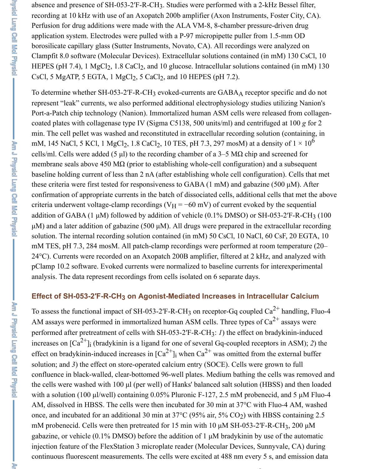absence and presence of SH-053-2'F-R-CH<sub>3</sub>. Studies were performed with a 2-kHz Bessel filter, recording at 10 kHz with use of an Axopatch 200b amplifier (Axon Instruments, Foster City, CA). Perfusion for drug additions were made with the ALA VM-8, 8-chamber pressure-driven drug application system. Electrodes were pulled with a P-97 micropipette puller from 1.5-mm OD borosilicate capillary glass (Sutter Instruments, Novato, CA). All recordings were analyzed on Clampfit 8.0 software (Molecular Devices). Extracellular solutions contained (in mM) 130 CsCl, 10 HEPES (pH 7.4), 1  $MgCl_2$ , 1.8 CaCl<sub>2</sub>, and 10 glucose. Intracellular solutions contained (in mM) 130 CsCl, 5 MgATP, 5 EGTA, 1 MgCl<sub>2</sub>, 5 CaCl<sub>2</sub>, and 10 HEPES (pH 7.2).

To determine whether SH-053-2'F-R-CH<sub>3</sub> evoked-currents are GABA<sub>A</sub> receptor specific and do not represent "leak" currents, we also performed additional electrophysiology studies utilizing Nanion's Port-a-Patch chip technology (Nanion). Immortalized human ASM cells were released from collagencoated plates with collagenase type IV (Sigma C5138, 500 units/ml) and centrifuged at 100 *g* for 2 min. The cell pellet was washed and reconstituted in extracellular recording solution (containing, in mM, 145 NaCl, 5 KCl, 1 MgCl<sub>2</sub>, 1.8 CaCl<sub>2</sub>, 10 TES, pH 7.3, 297 mosM) at a density of  $1 \times 10$ cells/ml. Cells were added (5  $\mu$ l) to the recording chamber of a 3–5 M $\Omega$  chip and screened for membrane seals above 450 M $\Omega$  (prior to establishing whole-cell configuration) and a subsequent baseline holding current of less than 2 nA (after establishing whole cell configuration). Cells that met these criteria were first tested for responsiveness to GABA  $(1 \text{ mM})$  and gabazine (500  $\mu$ M). After confirmation of appropriate currents in the batch of dissociated cells, additional cells that met the above criteria underwent voltage-clamp recordings ( $V_H = -60$  mV) of current evoked by the sequential addition of GABA (1  $\mu$ M) followed by addition of vehicle (0.1% DMSO) or SH-053-2<sup>'</sup>F-R-CH<sub>3</sub> (100  $\mu$ M) and a later addition of gabazine (500  $\mu$ M). All drugs were prepared in the extracellular recording solution. The internal recording solution contained (in mM) 50 CsCl, 10 NaCl, 60 CsF, 20 EGTA, 10 mM TES, pH 7.3, 284 mosM. All patch-clamp recordings were performed at room temperature (20– 24°C). Currents were recorded on an Axopatch 200B amplifier, filtered at 2 kHz, and analyzed with pClamp 10.2 software. Evoked currents were normalized to baseline currents for interexperimental analysis. The data represent recordings from cells isolated on 6 separate days. 6

#### Effect of SH-053-2′F-R-CH<sub>3</sub> on Agonist-Mediated Increases in Intracellular Calcium

To assess the functional impact of SH-053-2'F-R-CH<sub>3</sub> on receptor-Gq coupled  $Ca^{2+}$  handling, Fluo-4 AM assays were performed in immortalized human ASM cells. Three types of  $Ca^{2+}$  assays were performed after pretreatment of cells with SH-053-2'F-R-CH<sub>3</sub>: *1*) the effect on bradykinin-induced increases on  $\lbrack Ca^{2+}\rbrack$  (bradykinin is a ligand for one of several Gq-coupled receptors in ASM); 2) the effect on bradykinin-induced increases in  $\lceil Ca^{2+} \rceil$  when  $Ca^{2+}$  was omitted from the external buffer solution; and *3*) the effect on store-operated calcium entry (SOCE). Cells were grown to full confluence in black-walled, clear-bottomed 96-well plates. Medium bathing the cells was removed and the cells were washed with 100 µl (per well) of Hanks' balanced salt solution (HBSS) and then loaded with a solution (100 µl/well) containing 0.05% Pluronic F-127, 2.5 mM probenecid, and 5 µM Fluo-4 AM, dissolved in HBSS. The cells were then incubated for 30 min at 37°C with Fluo-4 AM, washed once, and incubated for an additional 30 min at  $37^{\circ}$ C (95% air, 5% CO<sub>2</sub>) with HBSS containing 2.5 mM probenecid. Cells were then pretreated for 15 min with 10  $\mu$ M SH-053-2'F-R-CH<sub>3</sub>, 200  $\mu$ M gabazine, or vehicle (0.1% DMSO) before the addition of 1 µM bradykinin by use of the automatic injection feature of the FlexStation 3 microplate reader (Molecular Devices, Sunnyvale, CA) during continuous fluorescent measurements. The cells were excited at 488 nm every 5 s, and emission data 2+ i i 2+

2+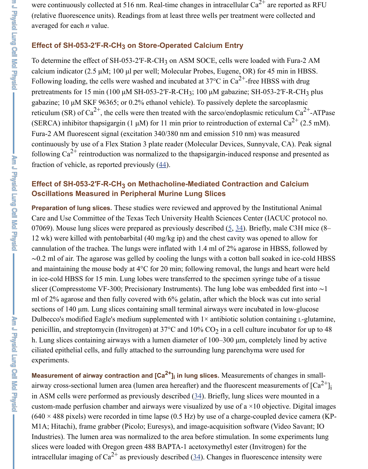#### **Effect of SH-053-2'F-R-CH<sub>3</sub> on Methacholine-Mediated Contraction and ( Oscillations Measured in Peripheral Murine Lung Slices**

Preparation of lung slices. These studies were reviewed and approved by the Institu Care and Use Committee of the Texas Tech University Health Sciences Center (IACI) 07069). Mouse lung slices were prepared as previously described  $(5, 34)$ . Briefly, ma 12 wk) were killed with pentobarbital  $(40 \text{ mg/kg ip})$  and the chest cavity was opened cannulation of the trachea. The lungs were inflated with  $1.4$  ml of  $2\%$  agarose in HB  $\sim$ 0.2 ml of air. The agarose was gelled by cooling the lungs with a cotton ball soaked and maintaining the mouse body at  $4^{\circ}$ C for [20](https://www.ncbi.nlm.nih.gov/pmc/articles/PMC4421780/#B44) min; following removal, the lungs and in ice-cold HBSS for 15 min. Lung lobes were transferred to the specimen syringe tu slicer (Compresstome VF-300; Precisionary Instruments). The lung lobe was embedded fi ml of 2% agarose and then fully covered with  $6\%$  gelatin, after which the block was sections of 140 µm. Lung slices containing small terminal airways were incubated in Dulbecco's modified Eagle's medium supplemented with  $1\times$  antibiotic solution conta penicillin, and streptomycin (Invitrogen) at  $37^{\circ}$ C and  $10\%$  CO<sub>2</sub> in [a](https://www.ncbi.nlm.nih.gov/pmc/articles/PMC4421780/#B5) [cell](https://www.ncbi.nlm.nih.gov/pmc/articles/PMC4421780/#B34) culture incul h. Lung slices containing airways with a lumen diameter of  $100-300 \mu m$ , completely ciliated epithelial cells, and fully attached to the surrounding lung parenchyma were experiments.

**Measurement of airway contraction and [Ca<sup>2+</sup>]<sub>i</sub> in lung slices. Measurements of changes** airway cross-sectional lumen area (lumen area hereafter) and the fluorescent measure in ASM cells were performed as previously described  $(34)$ . Briefly, lung slices were custom-made perfusion chamber and airways were visualized by use of a  $\times$ 10 objective.  $(640 \times 488 \text{ pixels})$  were recorded in time lapse  $(0.5 \text{ Hz})$  by use of a charge-coupled d M1A; Hitachi), frame grabber (Picolo; Euresys), and image-acquisition software (Video Savanter; IOS) Industries). The lumen area was normalized to the area before stimulation. In some experience slices were loaded with Oregon green 488 BAPTA-1 acetoxymethyl ester (Invitroger intracellular imaging of  $Ca^{2+}$  as previously described (34). Changes in fluorescence i **i**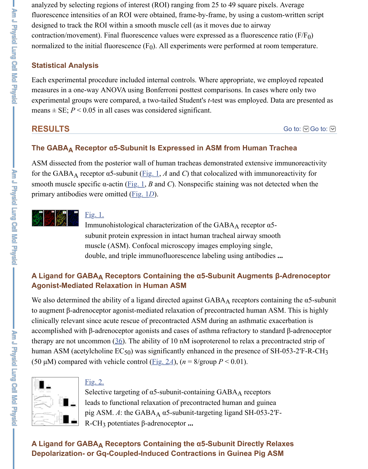means  $\pm$  SE;  $P$  < 0.05 in all cases was considered significant.

### **RESULTS**

# **The GABA<sub>A</sub> Receptor α5-Subunit Is Expressed in ASM from Human Tra** $\epsilon$

ASM dissected from the posterior wall of human tracheas demonstrated extensive imfor the GABA<sub>A</sub> receptor  $\alpha$ 5-subunit (Fig. 1, *A* and *C*) that colocalized with immunor smooth muscle specific  $\alpha$ -actin (Fig. 1, *B* and *C*). Nonspecific staining was not detected primary antibodies were omitted (Fig. 1*D*).



#### Fig. 1.

Immunohistological characterization of the  $GABA_A$  receptor  $\alpha$ 5subunit protein expression in intact human tracheal airway smooth muscle (ASM). Confocal microscopy images employing single, double, and triple immunofluorescence labeling using antibodies **...**

### **A** Ligand for GABA<sub>A</sub> Receptors [Cont](https://www.ncbi.nlm.nih.gov/pmc/articles/PMC4421780/figure/F1/)aining the α5-Subunit Augments β-**Agonist-Mediated Relaxati[on in H](https://www.ncbi.nlm.nih.gov/pmc/articles/PMC4421780/figure/F1/)uman ASM**

We also determined the ability of [a ligand](https://www.ncbi.nlm.nih.gov/pmc/articles/PMC4421780/figure/F1/) directed against GABAA receptors contain to augment β-adrenoceptor agonist-mediated relaxation of precontracted human ASN [clinically releva](https://www.ncbi.nlm.nih.gov/pmc/articles/PMC4421780/figure/F1/)nt [since a](https://www.ncbi.nlm.nih.gov/pmc/articles/PMC4421780/figure/F1/)cute rescue of precontracted ASM during an asthmatic exac accomplished with β-adrenoceptor agonists and cases of asthma refractory to standar therapy are not uncommon  $(36)$ . The ability of 10 nM isoproterenol to relax a precon human ASM (acetylcholine  $EC_{50}$ ) was significantly enhanced in the presence of SH-(50  $\mu$ M) compared with vehicle control (Fig. 2*A*), (*n* = 8/group *P* < 0.01).



#### Fig. 2.

Selective targeting of  $\alpha$ 5-subunit-containing GABAA receptors leads to functional relaxation of precontracted human and guinea pig ASM.  $A$ : the GABA<sub>A</sub>  $\alpha$ 5-subunit-targeting ligand SH-053-2<sup>'</sup>F-R-CH<sub>3</sub> potentiates β-adrenoceptor ...

#### **A** Ligand for GABA<sub>A</sub> Re[ce](https://www.ncbi.nlm.nih.gov/pmc/articles/PMC4421780/#B36)ptors Containing the α5-Subunit Directly Rela **Depolarization- or Gq-Coupled-Induced Contractions in Guinea Pig ASM**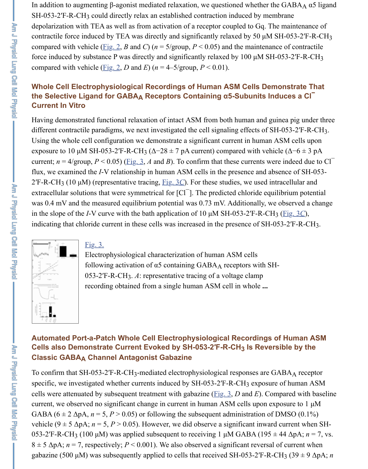#### **Current In Vitro**

Having demonstrated functional relaxation of intact ASM from both human and guineardifferent contractile paradigms, we next investigated the cell signaling effects of SH-Using the whole cell configuration we demonstrate a significant current in human AS exposure to 10  $\mu$ M SH-[053-2](https://www.ncbi.nlm.nih.gov/pmc/articles/PMC4421780/figure/F2/)′F-R-CH<sub>3</sub> ( $\Delta$ -28 ± 7 pA current) compared with vehicle current:  $n = \Delta/\alpha$  cun  $P < 0.05$ ) (Eig 3  $\Delta$  and R). To confirm that these currents were current;  $n = 4$ /group,  $P < 0.05$ ) (Fig. 3, *A* and *B*). To confirm that these currents were flux, we examined the *I*[-V rela](https://www.ncbi.nlm.nih.gov/pmc/articles/PMC4421780/figure/F2/)tionship in human ASM cells in the presence and abse  $2'F-R-CH_3$  (10 µM) (representative tracing,  $\underline{Fig. 3C}$ ). For these studies, we used intra<br>extracellular solutions that were symmetrical for  $[Cl<sup>-1</sup>]$ . The predicted chloride equili extracellular solutions that were symmetrical for  $\lceil C \rceil$ . The predicted chloride equili was 0.4 mV and the measured equilibrium potential was 0.73 mV. Additionally, we ob in the slope of the *I*-V curve with the bath application of 10  $\mu$ M SH-053-2<sup> $\text{F-R-CH}_3$  ( $\text{F}$ </sup> indicating that chloride current in these cells was increased in the presence of SH-053



#### Fig. 3.

Electrophysiological characterization of human ASM cells following acti[vation](https://www.ncbi.nlm.nih.gov/pmc/articles/PMC4421780/figure/F3/) of  $\alpha$ 5 containing GABAA receptors with SH-053-2'F-R-CH<sub>3</sub>. A: representative tracing of a voltage clamp recording obtained from a [single h](https://www.ncbi.nlm.nih.gov/pmc/articles/PMC4421780/figure/F3/)uman ASM cell in whole **...**

#### **Automated Port-a-Patch Whole Cell Electrophysiological Recordings of Cells also Dem[onstra](https://www.ncbi.nlm.nih.gov/pmc/articles/PMC4421780/figure/F3/)te Current Evoked by SH-053-2′F-R-CH** $_3$  **Is Reversi [Classic GABA](https://www.ncbi.nlm.nih.gov/pmc/articles/PMC4421780/figure/F3/) Channel Antagonist Gabazine A**

To confirm that SH-053-2'F-R-CH<sub>3</sub>-mediated electrophysiological responses are GA specific, we investigated whether currents induced by SH-053-2'F-R-CH<sub>3</sub> exposure of cells were attenuated by subsequent treatment with gabazine (Fig. 3,  $D$  and  $E$ ). Comparison current, we observed no significant change in current in human ASM cells upon exposure GABA ( $6 \pm 2$   $\Delta pA$ ,  $n = 5$ ,  $P > 0.05$ ) or following the subsequent administration of D. vehicle ( $9 \pm 5 \Delta pA$ ;  $n = 5$ ,  $P > 0.05$ ). However, we did observe a significant inward current 053-2<sup>'</sup>F-R-CH<sub>3</sub> (100  $\mu$ M) was applied subsequent to receiving 1  $\mu$ M GABA (195  $\pm$  4  $8 \pm 5$   $\Delta p$ A;  $n = 7$ , respectively;  $P < 0.001$ ). We also observed a significant reversal of gabazine (500 μM) was subsequently applied to cells that received SH-053-2<sup>'</sup>F-R-CH

Faisie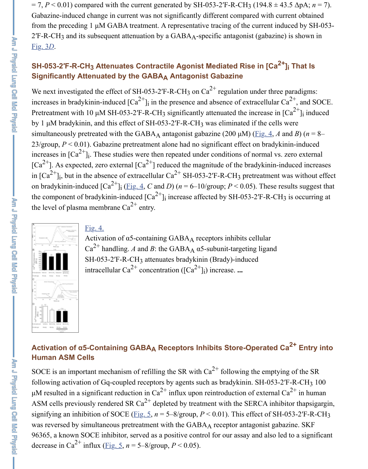increases in bradykinin-induced [Ca ] in the presence and absence of extracellular Ca , and SOCE. Pretreatment with 10  $\mu$ M SH-053-2'F-R-CH<sub>3</sub> significantly attenuated the increase in by 1  $\mu$ M bradykinin, and this effect of SH-053-2'F-R-CH<sub>3</sub> was eliminated if the cells simultaneously pretreated with the GABA<sub>A</sub> antagonist gabazine (200  $\mu$ M) ( $\underline{Fig. 4}$ , *A* 23/group,  $P < 0.01$ ). Gabazine pretreatment alone had no significant effect on bradyk [increase](https://www.ncbi.nlm.nih.gov/pmc/articles/PMC4421780/figure/F3/)s in  $\left[Ca^{2+}\right]_i$ . These studies were then repeated under conditions of normal vs. [Ca<sup>2+</sup>]. As expected, zero external [Ca<sup>2+</sup>] reduced the magnitude of the bradykinin-in in  $\lbrack Ca^{2+}\rbrack_i$ , but in the absence of extracellular  $\text{Ca}^{2+}$  SH-053-2′F-R-CH<sub>3</sub> pretreatment on bradykinin-induced  $\left[Ca^{2+}\right]_i$  (*Fig. 4, C* and *D*) ( $n = 6-10$ /group;  $P < 0.05$ ). These results and *S* the component of bradykinin-induced  $\text{[Ca}^{2+}\text{]}$  increase affected by SH-053-2'F-R-CH the level of plasma membrane  $Ca^{2+}$  entry.  $\overline{1}$ i i 2+ 3 i  $\frac{1}{1}$  increase affected by SH-053-2'F-R-CF.



#### Fig. 4.

Activation of  $\alpha$ 5-containing GABAA receptors inhibits c[ellular](https://www.ncbi.nlm.nih.gov/pmc/articles/PMC4421780/figure/F4/) Ca<sup>2+</sup> handling. *A* and *B*: the GABA<sub>A</sub>  $\alpha$ 5-subunit-targeting ligand SH-053-2'F-R-CH<sub>3</sub> attenuates bradykinin (Brady)-induced intracellular  $Ca^{2+}$  concentration ( $[Ca^{2+}]_i$ ) increase. ... A i

### **Activation of α5-Containing GABA<sub>A</sub> Receptors Inhibits Store-Operated ( [Human ASM C](https://www.ncbi.nlm.nih.gov/pmc/articles/PMC4421780/figure/F4/)ells**

SOCE is an important mechanism of refilling the SR with  $Ca^{2+}$  following the emptying following activation of Gq-coupled receptors by agents such as bradykinin. SH-053-2  $\mu$ M resulted in a significant reduction in Ca<sup>2+</sup> influx upon reintroduction of external ASM cells previously rendered SR  $Ca^{2+}$  depleted by treatment with the SERCA inhibitorsignifying an inhibition of SOCE (Fig. 5,  $n = 5-8$ /group,  $P < 0.01$ ). This effect of SH was reversed by simultaneous pretreatment with the  $GABA_A$  receptor antagonist gabazine. 96365, a known SOCE inhibitor, served as a positive control for our assay and also le decrease in Ca<sup>2+</sup> influx (<u>Fig. 5</u>,  $n = 5-8$ /group,  $P < 0.05$ ).

Ed premi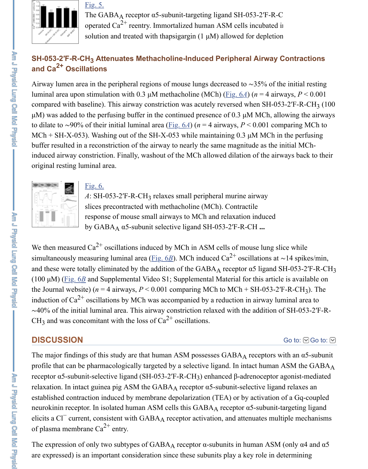compared with ba[seline\)](https://www.ncbi.nlm.nih.gov/pmc/articles/PMC4421780/figure/F5/). This allway constriction was acutely reversed when SH-05  $\mu$ M) was added to the perfusing buffer in the continued presence of 0.3  $\mu$ M MCh, all to dilate to ~90% of their initial luminal area (Fig. 6*A*) (*n* = 4 airways, *P* < 0.001 con MCh + SH-X-053). Washing out of the SH-X-053 while maintaining 0.3  $\mu$ M MCh in buffer resulted in a reconstriction of the airway to nearly the same magnitude as the i induced airway constriction. Finally, washout of the MCh allowed dilation of the airy original resting luminal area.



Fig. 6.

*A*: SH-053-2'F-R-CH<sub>3</sub> relaxes small peripheral [murine](https://www.ncbi.nlm.nih.gov/pmc/articles/PMC4421780/figure/F6/) airway slices precontracted with methacholine (MCh). Contractile response of mouse small airways to MCh and relaxation induced by GABA<sub>A</sub> α5-subunit sele[ctive lig](https://www.ncbi.nlm.nih.gov/pmc/articles/PMC4421780/figure/F6/)and SH-053-2'F-R-CH ...

We then measured  $Ca^{2+}$  oscillations induced by MCh in ASM cells of mouse lung sli simultaneously measuring luminal area (Fig. 6B). MCh induced Ca<sup>2+</sup> oscillations at <sup>∂</sup> and these were totally eliminated by the addition of the  $GABA_A$  receptor  $\alpha$ 5 ligand S (100  $\mu$ M) (Fig. 6*B* and Supplemental Video S1; Supplemental Material for this article [the Journal webs](https://www.ncbi.nlm.nih.gov/pmc/articles/PMC4421780/figure/F6/)i[te\) \(](https://www.ncbi.nlm.nih.gov/pmc/articles/PMC4421780/figure/F6/) $n = 4$  airways,  $P < 0.001$  comparing MCh to MCh + SH-053-2' induction of Ca<sup>2+</sup> oscillations by MCh was accompanied by a reduction in airway lum ~40% of the initial luminal area. This airway constriction relaxed with the addition of CH<sub>3</sub> and was concomitant with the loss of  $Ca^{2+}$  oscillations. 2+

### **DISCUSSION**

The major findings of this study are that human ASM possesses GABAA receptors with profile that can be pharmacologically tar[geted by](https://www.ncbi.nlm.nih.gov/pmc/articles/PMC4421780/figure/F6/) a selective ligand. In intact human receptor α5-subunit-selective ligand (SH-053-2'F-R-CH<sub>3</sub>) enhanced β-adrenoceptor a relaxation. [In intac](https://www.ncbi.nlm.nih.gov/pmc/articles/PMC4421780/figure/F6/)t guinea pig ASM the  $GABA_A$  receptor  $\alpha$ 5-subunit-selective ligan established contraction induced by membrane depolarization (TEA) or by activation neurokinin receptor. In isolated human ASM cells this  $GABA_A$  receptor  $\alpha$ 5-subunit-t neurokinin receptor. In isolated human ASM cells this GABA<sub>A</sub> receptor  $\alpha$ 5-subunit-t<br>elicits a Cl<sup>-</sup> current, consistent with GABA<sub>A</sub> receptor activation, and attenuates mult of plasma membrane  $Ca^{2+}$  entry.

The expression of only two subtypes of  $GABA_A$  receptor  $\alpha$ -subunits in human ASM are expressed) is an important consideration since these subunits play a key role in de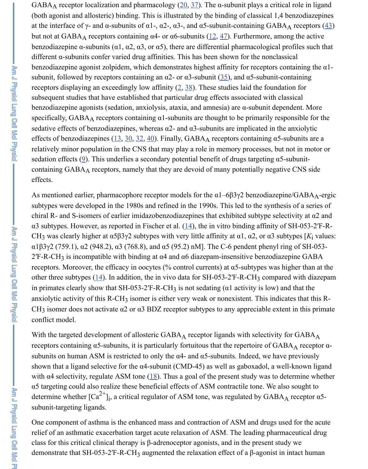- Ann J Phàsic Lung Ceil McI Phàsic

benzodiazepine agonists (sedation, anxiolysis, ata[xia,](https://www.ncbi.nlm.nih.gov/pmc/articles/PMC4421780/#B20) [and](https://www.ncbi.nlm.nih.gov/pmc/articles/PMC4421780/#B37) amnesia) are  $\alpha$ -subunit dep specifically,  $GABA_A$  receptors containing  $\alpha$ 1-subunits are thought to be primarily res sedative effects of benzodiazepines, whereas  $\alpha$ 2- and  $\alpha$ 3-subunits are implicated in the effects of benzodiazepines  $(13, 30, 32, 40)$ . Finally, GABAA [re](https://www.ncbi.nlm.nih.gov/pmc/articles/PMC4421780/#B12)[cep](https://www.ncbi.nlm.nih.gov/pmc/articles/PMC4421780/#B47)tors containing  $\alpha$ 5 relatively minor population in the CNS that may play a role in memory processes, but sedation effects (9). This underlies a secondary potential benefit of drugs targeting  $\alpha$ . containing GABAA receptors, namely that they are devoid of many potentially negat effects.

As mentioned earlier, pharmacophore receptor m[od](https://www.ncbi.nlm.nih.gov/pmc/articles/PMC4421780/#B2)[els](https://www.ncbi.nlm.nih.gov/pmc/articles/PMC4421780/#B38) for the  $\alpha$ 1–6β3γ2 benzodiazep subtypes were developed in the 1980s and refined in the 1990s. This led to the synthe chiral R- and S-isomers of earlier imidazobenzodiazepines that exhibited subtype sel α3 subtypes. However, as reported in Fischer et al.  $(14)$ , the in vitro binding affinity of CH<sub>3</sub> was clearly higher at  $\alpha$ 5 $\beta$ 3 $\gamma$ 2 subtypes with very little affinity at  $\alpha$ 1,  $\alpha$ 2, or  $\alpha$ 3 su [α](https://www.ncbi.nlm.nih.gov/pmc/articles/PMC4421780/#B13)1β3γ2 (759.1), α2 (948.2), α3 [\(76](https://www.ncbi.nlm.nih.gov/pmc/articles/PMC4421780/#B30)[8.8\)](https://www.ncbi.nlm.nih.gov/pmc/articles/PMC4421780/#B32)[, an](https://www.ncbi.nlm.nih.gov/pmc/articles/PMC4421780/#B40)d α5 (95.2) nM]. The C-6 pendent phenyl is  $2$ <sup>T</sup>-R-CH<sub>3</sub> is incompatible with binding at  $\alpha$ 4 and  $\alpha$ 6 diazepam-insensitive benzodia receptors. More[ov](https://www.ncbi.nlm.nih.gov/pmc/articles/PMC4421780/#B9)er, the efficacy in oocytes (% control currents) at  $\alpha$ 5-subtypes was other three subtypes  $(14)$ . In addition, the in vivo data for SH-053-2<sup>'</sup>F-R-CH<sub>3</sub> compared with diagrams of the in vivo data for SH-053-2<sup>'</sup>F-R-CH<sub>3</sub> compared with diagrams of the in vivo data for SH-053-2<sup>'</sup>F-R-CH<sub>3</sub> c in primates clearly show that SH-053-2'F-R-CH<sub>3</sub> is not sedating ( $\alpha$ 1 activity is low) and the that that the that that the that the that the that the that the that the that the that the that the that the that the that t anxiolytic activity of this R-CH<sub>3</sub> isomer is either very weak or nonexistent. This indi CH<sub>3</sub> isomer does not activate  $\alpha$ 2 or  $\alpha$ 3 BDZ receptor subtypes to any appreciable extent conflict model.

With the targeted development of allosteric  $GABA_A$  [re](https://www.ncbi.nlm.nih.gov/pmc/articles/PMC4421780/#B14)ceptor ligands with selectivity receptors containing  $α5$ -subunits, it is particularly fortuitous that the repertoire of  $GA$ subunits on human ASM is restricted to only the  $\alpha$ 4- and  $\alpha$ 5-subunits. Indeed, we have shown that a ligand selective for the  $\alpha$ 4-subunit (CMD-45) as well as gaboxadol, a w with  $\alpha$ 4 selectivity, regulate ASM tone (18). Thus a goal of the present study was to determine when α5 targeting could al[so r](https://www.ncbi.nlm.nih.gov/pmc/articles/PMC4421780/#B14)ealize these beneficial effects of ASM contractile tone. We a determine whether  $\left[Ca^{2+}\right]_i$ , a critical regulator of ASM tone, was regulated by GABA subunit-targeting ligands.  $\mathbf{j}$ , a critical regulator of ASM tone, was regulated by GABA

One component of asthma is the enhanced mass and contraction of ASM and drugs used for relief of an asthmatic exacerbation target acute relaxation of ASM. The leading pharm class for this critical clinical therapy is  $\beta$ -adrenoceptor agonists, and in the present study class demonstrate that SH-053-2'F-R-CH<sub>3</sub> augmented the relaxation effect of a  $\beta$ -agonist in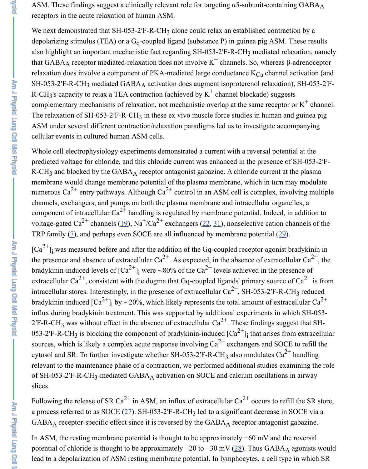complementary mechanisms of relaxation, not mechanistic overlap at the same recep The relaxation of SH-053-2'F-R-CH<sub>3</sub> in these ex vivo muscle force studies in human ASM under several different contraction/relaxation paradigms led us to investigate a cellular events in cultured human ASM cells.

Whole cell electrophysiology experiments demonstrated a current with a reversal pot predicted voltage for chloride, and this chloride current was enhanced in the presence  $R$ -CH<sub>3</sub> and blocked by the GABA<sub>A</sub> receptor antagonist gabazine. A chloride current membrane would change membrane potential of the plasma membrane, which in turn numerous Ca<sup>2+</sup> entry pathways. Although Ca<sup>2+</sup> control in an ASM cell is complex, i channels, exchangers, and pumps on both the plasma membrane and intracellular org component of intracellular  $Ca^{2+}$  handling is regulated by membrane potential. Indeed voltage-gated Ca<sup>2+</sup> channels (19), Na<sup>+</sup>/Ca<sup>2+</sup> exchangers (22, 31), nonselective cation TRP family  $(2)$ , and perhaps even SOCE are all influenced by membrane potential  $(2)$ 

 $\lbrack Ca^{2+}\rbrack$  was measured before and after the addition of the Gq-coupled receptor agoni the presence and absence of extracellular  $Ca^{2+}$ . As expected, in the absence of extrac bradykinin-induced levels of  $\left[Ca^{2+}\right]_i$  were ~80% of the  $Ca^{2+}$  levels achieved in the p extracellular Ca<sup>2+</sup>, consistent with the dogma that Gq-coupled ligands' primary sourc intracellular stores. Interestingly, in the presence of extracellular  $Ca^{2+}$ , SH-053-2<sup>'</sup>F-F bradykinin-induced [Ca<sup>2+</sup>]<sub>i</sub> by ~20%, which likely represents the total amount of ext influx during bradykinin treatment. This was supported by additional experiments in 2'F-R-CH<sub>3</sub> was without effect [in](https://www.ncbi.nlm.nih.gov/pmc/articles/PMC4421780/#B19) the absence of extracell[ular](https://www.ncbi.nlm.nih.gov/pmc/articles/PMC4421780/#B22)  $Ca^{2+}$  $Ca^{2+}$ . These findings su 053-2<sup>'</sup>F-R-C[H](https://www.ncbi.nlm.nih.gov/pmc/articles/PMC4421780/#B7)<sub>3</sub> is blocking the component of bradykinin-induced  $\left[Ca^{2+}\right]_i$  that arises sources, which is likely a complex acute response involving  $Ca^{2+}$  exchangers and SC cytosol and SR. To further investigate whether SH-053-2'F-R-CH<sub>3</sub> also modulates C relevant to the maintenance phase of a contraction, we performed additional studies  $\epsilon$ of SH-053-2<sup>'</sup>F-R-CH<sub>3</sub>-mediated GABA<sub>A</sub> activation on SOCE and calcium oscillation slices. i i 2+ i 2+ 2+ i

Following the release of SR Ca<sup>2+</sup> in ASM, an influx of extracellular Ca<sup>2+</sup> occurs to r a process referred to as SOCE  $(27)$ . SH-053-2'F-R-CH<sub>3</sub> led to a significant decrease  $GABA_A$  receptor-specific effect since it is reversed by the  $GABA_A$  receptor antagon

In ASM, the resting membrane potential is thought to be approximately  $-60$  mV and potential of chloride is thought to be approximately  $-20$  to  $-30$  mV ( $28$ ). Thus GABA lead to a depolarization of ASM resting membrane potential. In lymphocytes, a cell t

2+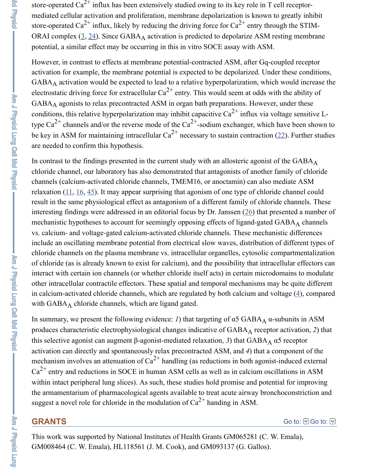GABA agonists to relax precontracted ASM in organ bath preparations. However, t conditions, this relative hyperpolarization may inhibit capacitive  $Ca^{2+}$  influx via volt type Ca<sup>2+</sup> channels and/or the reverse mode of the Ca<sup>2+</sup>-sodium exchanger, which ha be key in ASM f[or](https://www.ncbi.nlm.nih.gov/pmc/articles/PMC4421780/#B3) [ma](https://www.ncbi.nlm.nih.gov/pmc/articles/PMC4421780/#B24)intaining intracellular Ca<sup>2+</sup> necessary to sustain contraction (2 are needed to confirm this hypothesis.

In contrast to the findings presented in the current study with an allosteric agonist of chloride channel, our laboratory has also demonstrated that antagonists of another family channels (calcium-activated chloride channels, TMEM16, or anoctamin) can also me relaxation  $(11, 16, 45)$ . It may appear surprising that agonism of one type of chloride result in the same physiological effect as antagonism of a different family of chloride interesting findings were addressed in an editorial focus by Dr. Janssen  $(26)$  that pres mechanistic hypotheses to account for seemingly opposing effects of ligand-gated GA vs. calcium- and voltage-gated calcium-activated chloride channels. These mechanistic differences include an oscillating membrane potential from electrical slow waves, distribution of chloride channels on the plasma membrane vs. intracellular organelles, cytosolic con of chloride (as is already known to exist for calcium), and the possibility that intracel interact with certain ion channels (or whether chloride itself acts) in certain microdor other intracellular contractile effectors. These spatial and temporal mechanisms may in calcium-[act](https://www.ncbi.nlm.nih.gov/pmc/articles/PMC4421780/#B11)i[vat](https://www.ncbi.nlm.nih.gov/pmc/articles/PMC4421780/#B16)[ed c](https://www.ncbi.nlm.nih.gov/pmc/articles/PMC4421780/#B45)hloride channels, which are regulated by both calcium and volt with GABAA chloride channels, which are ligand gated.

In summary, we present the following evidence: *1*) that targeting of  $\alpha$ 5 [GAB](https://www.ncbi.nlm.nih.gov/pmc/articles/PMC4421780/#B26)A<sub>A</sub>  $\alpha$ -su produces characteristic electrophysiological changes indicative of GABA<sub>A</sub> receptor a this selective agonist can augment β-agonist-mediated relaxation, 3) that  $\text{GABA}_\text{A}$  α5 activation can directly and spontaneously relax precontracted ASM, and 4) that a con mechanism involves an attenuation of  $Ca^{2+}$  handling (as reductions in both agonist-in  $Ca^{2+}$  entry and reductions in SOCE in human ASM cells as well as in calcium oscillations in ASM within intact peripheral lung slices). As such, these studies hold promise and potential the armamentarium of pharmacological agents available to treat acute airway bronch suggest a novel role for chloride in the modulation of  $Ca^{2+}$  handing in ASM.

### **GRANTS**

This work was supported by National Institutes of Health Grants GM065281 (C. W. Ema GM008464 (C. W. Emala), HL118561 (J. M. Cook), and GM093137 (G. Gallos).

Am J Physic Lung Ceil Moi Physic)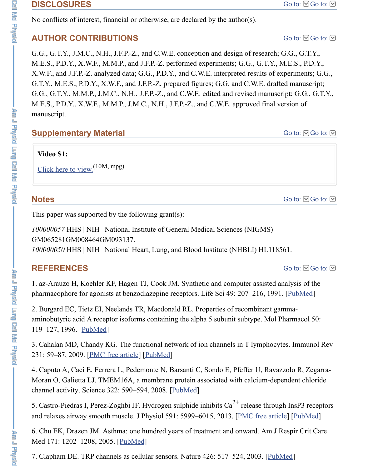$M.L. S., 1. D. 1., A. W.1., W.1.91.1., J.191. C., 19.11., J.1.1.-L., and 0. W. L. \nalpha p$  approved final v[ersion of](https://www.ncbi.nlm.nih.gov/pmc/articles/PMC4421780/#)  $V$ manuscript.

# **Supplementary Material**

**Video S1:**

Click here to view. (10M, mpg)

# **Notes**

This paper was supported by the following grant(s):

*100000057* HHS | NIH | National Institute of General Medical Sciences (NIGMS) GM065281GM008464GM093137. 100000050 HHS | NIH | National Heart, Lung, and Blood Institute (NHBLI) HL1185

# **R[EFERENCES](https://www.ncbi.nlm.nih.gov/pmc/articles/PMC4421780/bin/videoS1.mpg)**

1. az-Arauzo H, Koehler KF, Hagen TJ, Cook JM. Synthetic and computer assisted a pharmacophore for agonists at benzodiazepine receptors. Life Sci 49: 207-216, 1991

2. Burgard EC, Tietz EI, Neelands TR, Macdonald RL. Properties of recombinant gameaminobutyric acid A receptor isoforms containing the alpha 5 subunit subtype. Mol F 119–127, 1996. [PubMed]

3. Cahalan MD, Chandy KG. The functional network of ion channels in T lymphocyt 231: 59–87, 2009. [PMC free article] [PubMed]

4. Caputo A, Caci E, Ferrera L, Pedemonte N, Barsanti C, Sondo E, Pfeffer U, Ravaz Moran O, Galietta LJ. TMEM16A, a membrane protein associated with calcium-dependent chalcium-dependent chalcium-dependent chalcium-dependent chalcium-dependent chalcium-dependent chalcium-dependent chalcium-dependent chalc channel activity. Science 322: 590–594, 2008. [PubMed]

5. Castro-Piedras I, Perez-Zoghbi JF. Hydrogen sulphide inhibits  $Ca^{2+}$  release throug and relaxes airway smooth muscle. J Physiol 591: 5999–6015, 2013. [PMC free artic

6. Chu EK, Draz[en JM. A](https://www.ncbi.nlm.nih.gov/pubmed/8700104)sthma: one hundred years of treatment and onward. Am J F Med 171: 1202–1208, 2005. [PubMed]

7. Clapham DE. T[RP channels as cel](https://www.ncbi.nlm.nih.gov/pmc/articles/PMC3133616/)l[ular senso](https://www.ncbi.nlm.nih.gov/pubmed/19754890)rs. Nature 426: 517–524, 2003. [Publ]

**Construction**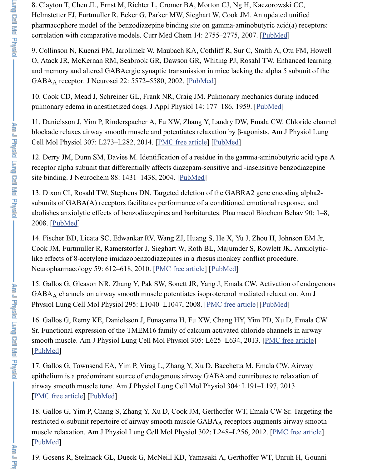11. Danielsson J, Yim P, Rinderspacher A, Fu XW, Zhang Y, Landry DW, Emala CW. blockade relaxes airway smooth muscle and potentiates relaxation by  $\beta$ -agonists. Am Cell Mol Physiol 307: L273–L282, 2014. [PMC free article] [PubMed]

12. Derry JM, Dunn SM, Davies M. Identification of a residue in the gamma-aminob receptor alpha subunit that differentially affects diazepam-sensitive and -insensitive b site binding. J Neurochem 88: 1431–1438, 2004. [Pu[bMed\]](https://www.ncbi.nlm.nih.gov/pubmed/12097508)

13. Dixon CI, Rosahl TW, Stephens DN. Targeted deletion of the GABRA2 gene encomparasubunits of GABA(A) receptors facilitates performance of a conditioned emotional re abolishes anxiolytic effects of benzodiazepines and barbiturates. Pharmacol [Biochem](https://www.ncbi.nlm.nih.gov/pubmed/13641138) 2008. [PubMed]

14. Fischer BD, Licata SC, Edwankar RV, Wang ZJ, Huang S, He X, Yu J, Zhou H, J Cook JM, Furtmuller R, Ramerstorfer J, Si[eghart W, Roth B](https://www.ncbi.nlm.nih.gov/pmc/articles/PMC4121642/)L[, Majumd](https://www.ncbi.nlm.nih.gov/pubmed/24879056)er S, Rowlett like effects of 8-acetylene imidazobenzodiazepines in a rhesus monkey conflict proce Neuropharmacology 59: 612–618, 2010. [PMC free article] [PubMed]

15. Gallos G, Gleason NR, Zhang Y, Pak SW, Son[ett JR, Y](https://www.ncbi.nlm.nih.gov/pubmed/15009644)ang J, Emala CW. Activat GABA<sub>A</sub> channels on airway smooth muscle potentiates isoproterenol mediated relax Physiol Lung Cell Mol Physiol 295: L1040–L1047, 2008. [PMC free article] [PubMed]

16. Gallos G, Remy KE, Danielsson J, Funayama H, Fu XW, Chang HY, Yim PD, Xu Sr. Fu[nctional e](https://www.ncbi.nlm.nih.gov/pubmed/18313124)xpression of the TMEM16 family of calcium activated chloride channels smooth muscle. Am J Physiol Lung Cell Mol Physiol 305: L625-L634, 2013. [PMC [PubMed]

17. Gallos G, Townsend EA, Yim P, Virag L, Zhang Y, Xu D, Bacchetta M, Emala C epithelium is a predominant source of en[dogenous airway G](https://www.ncbi.nlm.nih.gov/pmc/articles/PMC2963662/)[ABA and](https://www.ncbi.nlm.nih.gov/pubmed/20727364) contributes to relaxation of airway smooth muscle tone. Am J Physiol Lung Cell Mol Physiol 304: L191–L197, 2013. [PMC free article] [PubMed]

18. Gallos G, Yim P, Chang S, Zhang Y, Xu D, Cook JM, [Gerthoffer WT, Em](https://www.ncbi.nlm.nih.gov/pmc/articles/PMC2604789/)ala CW restricted  $\alpha$ -subunit repertoire of airway smooth muscle GABAA receptors augments muscle relaxation. Am J Physiol Lung Cell Mol Physiol 302: L248–L256, 2012. [PM [PubMed]

[19. Gosen](https://www.ncbi.nlm.nih.gov/pubmed/23997176)s R, Stelmack GL, Dueck G, McNeill KD, Yamasaki A, Gerthoffer WT, Un

ᇃ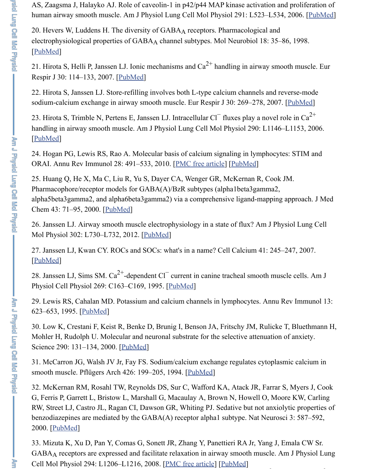$s$ odium valorum vilonalist in airway smooth muscle. Eur Respir  $v$  30: 269–278, 2007.

23. Hirota S, Trimble N, Pertens E, Janssen LJ. Intracellular Cl<sup>-</sup> fluxes play a novel in handling in airway smooth muscle. Am J Physiol Lung Cell Mol Physiol 290: L1146 [PubMed]

[24. Hogan](https://www.ncbi.nlm.nih.gov/pubmed/9824848) PG, Lewis RS, Rao A. Molecular basis of calcium signaling in lymphocyt ORAI. Annu Rev Immunol 28: 491–533, 2010. [PMC free article] [PubMed]

25. Huang Q, He X, Ma C, L[iu R, Yu S](https://www.ncbi.nlm.nih.gov/pubmed/17601970), Dayer CA, Wenger GR, McKernan R, Cook Pharmacophore/receptor models for GABA(A)/BzR subtypes (alpha1beta3gamma2, alpha5beta3gamma2, and alpha6beta3gamma2) via a comprehensive ligand-mapping Chem 43: 71–95, 2000. [PubMed]

26. Janssen LJ. Airway smooth muscle electrophysiology in a state of flux? Am J Ph Mol Physiol 302: L730–L732, 2012. [PubMed]

27. Janssen LJ, Kwan CY. ROCs and SOCs: what's in a name? Cell Calcium 41: 245 [PubMed]

28. Janssen LJ, Sims SM. Ca<sup>2+</sup>-dependent Cl<sup>-</sup> current in canine tracheal smooth mus Physiol Cell Physiol 269: C163–C169, 1995. [PubMed]

29. Lewis RS, Cahalan MD. Potassium and calcium channels in lymphocytes. Annu 623–653, 1995. [PubMe[d\]](https://www.ncbi.nlm.nih.gov/pubmed/10633039)

30. Low K, Crestani F, Keist R, Benke D, Brunig I, Benson JA, Fritschy JM, Rulicke Mohler H, Rudolph U. Molecular and [neuronal](https://www.ncbi.nlm.nih.gov/pubmed/22345577) substrate for the selective attenuation Science 290: 131-134, 2000. [PubMed]

[31. McCa](https://www.ncbi.nlm.nih.gov/pubmed/16934328)rron JG, Walsh JV Jr, Fay FS. Sodium/calcium exchange regulates cytoplas smooth muscle. Pflügers Arch 426: 199–205, 1994. [PubMed]

32. McKernan RM, Rosahl TW, Reynolds DS, [Sur C, W](https://www.ncbi.nlm.nih.gov/pubmed/7543242)afford KA, Atack JR, Farrar G, Ferris P, Garrett L, Bristow L, Marshall G, Macaulay A, Brown N, Howell O, Mo RW, Street LJ, Castro JL, Ragan CI, Dawson GR, Whiting PJ. Sedative but not anxion benzodiazepines [are medi](https://www.ncbi.nlm.nih.gov/pubmed/7612237)ated by the  $GABA(A)$  receptor alpha1 subtype. Nat Neuros 2000. [PubMed]

33. Mizuta K, Xu D, Pan Y, Comas G, Sonett JR, Zhang Y, Panettieri RA Jr, Yang J, GABAA receptors are express[ed and fa](https://www.ncbi.nlm.nih.gov/pubmed/11021797)cilitate relaxation in airway smooth muscle. A Cell Mol Physiol 294: L1206–L1216, 2008. [PMC free article] [PubMed] 2+ 2+